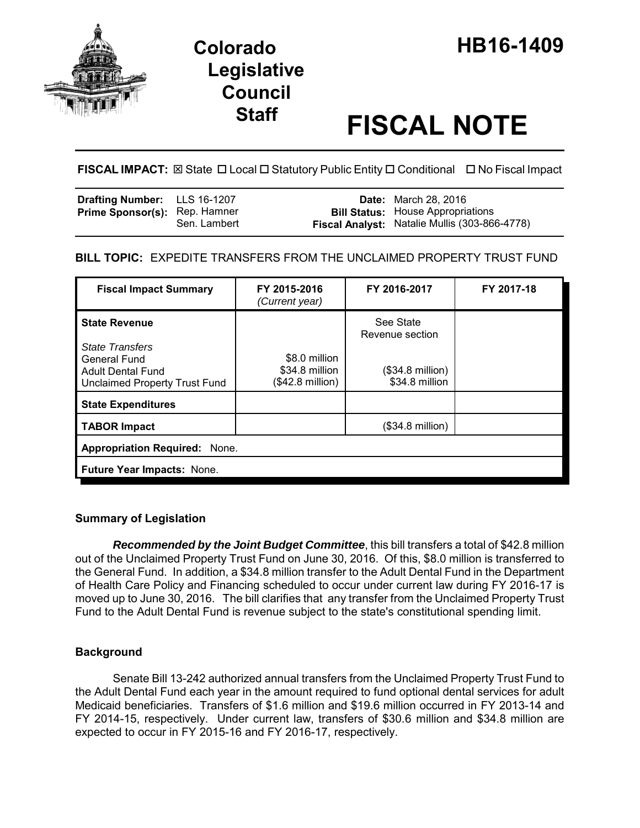

# **Legislative Council**

# **Staff FISCAL NOTE**

**FISCAL IMPACT:** ⊠ State □ Local □ Statutory Public Entity □ Conditional □ No Fiscal Impact

| <b>Drafting Number:</b> LLS 16-1207  |              | <b>Date:</b> March 28, 2016                                                               |
|--------------------------------------|--------------|-------------------------------------------------------------------------------------------|
| <b>Prime Sponsor(s): Rep. Hamner</b> | Sen. Lambert | <b>Bill Status:</b> House Appropriations<br>Fiscal Analyst: Natalie Mullis (303-866-4778) |

# **BILL TOPIC:** EXPEDITE TRANSFERS FROM THE UNCLAIMED PROPERTY TRUST FUND

| <b>Fiscal Impact Summary</b>                                                                                                              | FY 2015-2016<br>(Current year)                      | FY 2016-2017                                                                | FY 2017-18 |  |  |
|-------------------------------------------------------------------------------------------------------------------------------------------|-----------------------------------------------------|-----------------------------------------------------------------------------|------------|--|--|
| <b>State Revenue</b><br><b>State Transfers</b><br><b>General Fund</b><br><b>Adult Dental Fund</b><br><b>Unclaimed Property Trust Fund</b> | \$8.0 million<br>\$34.8 million<br>(\$42.8 million) | See State<br>Revenue section<br>$($34.8 \text{ million})$<br>\$34.8 million |            |  |  |
| <b>State Expenditures</b>                                                                                                                 |                                                     |                                                                             |            |  |  |
| <b>TABOR Impact</b>                                                                                                                       |                                                     | $($34.8 \text{ million})$                                                   |            |  |  |
| <b>Appropriation Required: None.</b>                                                                                                      |                                                     |                                                                             |            |  |  |
| Future Year Impacts: None.                                                                                                                |                                                     |                                                                             |            |  |  |

### **Summary of Legislation**

*Recommended by the Joint Budget Committee*, this bill transfers a total of \$42.8 million out of the Unclaimed Property Trust Fund on June 30, 2016. Of this, \$8.0 million is transferred to the General Fund. In addition, a \$34.8 million transfer to the Adult Dental Fund in the Department of Health Care Policy and Financing scheduled to occur under current law during FY 2016-17 is moved up to June 30, 2016. The bill clarifies that any transfer from the Unclaimed Property Trust Fund to the Adult Dental Fund is revenue subject to the state's constitutional spending limit.

## **Background**

Senate Bill 13-242 authorized annual transfers from the Unclaimed Property Trust Fund to the Adult Dental Fund each year in the amount required to fund optional dental services for adult Medicaid beneficiaries. Transfers of \$1.6 million and \$19.6 million occurred in FY 2013-14 and FY 2014-15, respectively. Under current law, transfers of \$30.6 million and \$34.8 million are expected to occur in FY 2015-16 and FY 2016-17, respectively.